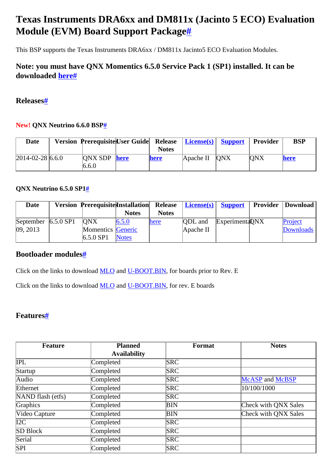# <span id="page-0-0"></span>**Texas Instruments DRA6xx and DM811x (Jacinto 5 ECO) Evaluation Module (EVM) Board Support Packag[e#](#page-0-0)**

This BSP supports the Texas Instruments DRA6xx / DM811x Jacinto5 ECO Evaluation Modules.

# <span id="page-0-1"></span>**Note: you must have QNX Momentics 6.5.0 Service Pack 1 (SP1) installed. It can be downloaded [here](http://www.qnx.com/download/group.html?programid=20905)[#](#page-0-1)**

#### <span id="page-0-2"></span>**Release[s#](#page-0-2)**

#### <span id="page-0-3"></span>**New! QNX Neutrino 6.6.0 BSP[#](#page-0-3)**

| Date                 | Version Prerequisite User Guide Release   License(s)   Support |              |                             | Provider   | <b>BSP</b> |
|----------------------|----------------------------------------------------------------|--------------|-----------------------------|------------|------------|
|                      |                                                                | <b>Notes</b> |                             |            |            |
| $ 2014-02-28 6.6.0 $ | $ONX SDP$ here                                                 | here         | $\Delta$ Apache II $\Delta$ | <b>ONX</b> | here       |
|                      | 6.6.0                                                          |              |                             |            |            |

#### <span id="page-0-4"></span>**QNX Neutrino 6.5.0 SP[1#](#page-0-4)**

| <b>Date</b>                                 | <b>Version Prerequisite Installation Release</b> |              |              | $License(s)$ Support |                 | <b>Provider   Download  </b> |
|---------------------------------------------|--------------------------------------------------|--------------|--------------|----------------------|-----------------|------------------------------|
|                                             |                                                  | <b>Notes</b> | <b>Notes</b> |                      |                 |                              |
| September $\vert 6.5.0 \, \text{SP1} \vert$ | <b>ONX</b>                                       | 6.5.0        | here         | <b>ODL</b> and       | Experimenta DNX | Project                      |
| 09, 2013                                    | <b>Momentics</b> Generic                         |              |              | $A$ pache II         |                 | <b>Downloads</b>             |
|                                             | $6.5.0$ SP1                                      | <b>Notes</b> |              |                      |                 |                              |

## <span id="page-0-5"></span>**Bootloader module[s#](#page-0-5)**

Click on the links to download [MLO](http://community.qnx.com/sf/frs/do/viewRelease/projects.bsp/frs.texas_instruments_dra6xx_dm811x.mlo_and_u_boot_binaries_for_texa) and [U-BOOT.BIN,](http://community.qnx.com/sf/frs/do/viewRelease/projects.bsp/frs.texas_instruments_dra6xx_dm811x.mlo_and_u_boot_binaries_for_texa) for boards prior to Rev. E

Click on the links to download [MLO](http://community.qnx.com/sf/frs/do/viewRelease/projects.bsp/frs.texas_instruments_dra6xx_dm811x.mlo_and_u_boot_binaries_for_j5_e) and [U-BOOT.BIN,](http://community.qnx.com/sf/frs/do/viewRelease/projects.bsp/frs.texas_instruments_dra6xx_dm811x.mlo_and_u_boot_binaries_for_j5_e) for rev. E boards

## <span id="page-0-6"></span>**Features[#](#page-0-6)**

| Feature           | <b>Planned</b>      | Format     | <b>Notes</b>           |  |
|-------------------|---------------------|------------|------------------------|--|
|                   | <b>Availability</b> |            |                        |  |
| <b>IPL</b>        | Completed           | <b>SRC</b> |                        |  |
| Startup           | Completed           | <b>SRC</b> |                        |  |
| Audio             | Completed           | <b>SRC</b> | <b>McASP</b> and McBSP |  |
| Ethernet          | Completed           | <b>SRC</b> | 10/100/1000            |  |
| NAND flash (etfs) | Completed           | <b>SRC</b> |                        |  |
| Graphics          | Completed           | BIN        | Check with QNX Sales   |  |
| Video Capture     | Completed           | BIN        | Check with QNX Sales   |  |
| I2C               | Completed           | <b>SRC</b> |                        |  |
| <b>SD Block</b>   | Completed           | <b>SRC</b> |                        |  |
| Serial            | Completed           | <b>SRC</b> |                        |  |
| SPI               | Completed           | <b>SRC</b> |                        |  |